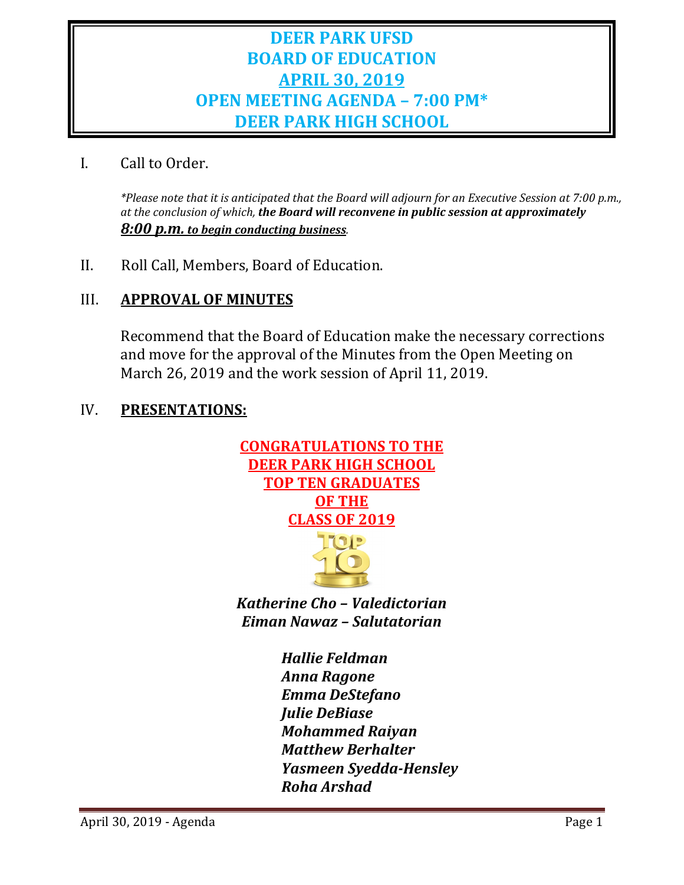# **DEER PARK UFSD BOARD OF EDUCATION APRIL 30, 2019 OPEN MEETING AGENDA – 7:00 PM\* DEER PARK HIGH SCHOOL**

I. Call to Order.

*\*Please note that it is anticipated that the Board will adjourn for an Executive Session at 7:00 p.m., at the conclusion of which, the Board will reconvene in public session at approximately 8:00 p.m. to begin conducting business.*

II. Roll Call, Members, Board of Education.

# III. **APPROVAL OF MINUTES**

Recommend that the Board of Education make the necessary corrections and move for the approval of the Minutes from the Open Meeting on March 26, 2019 and the work session of April 11, 2019.

# IV. **PRESENTATIONS:**



*Katherine Cho – Valedictorian Eiman Nawaz – Salutatorian*

> *Hallie Feldman Anna Ragone Emma DeStefano Julie DeBiase Mohammed Raiyan Matthew Berhalter Yasmeen Syedda-Hensley Roha Arshad*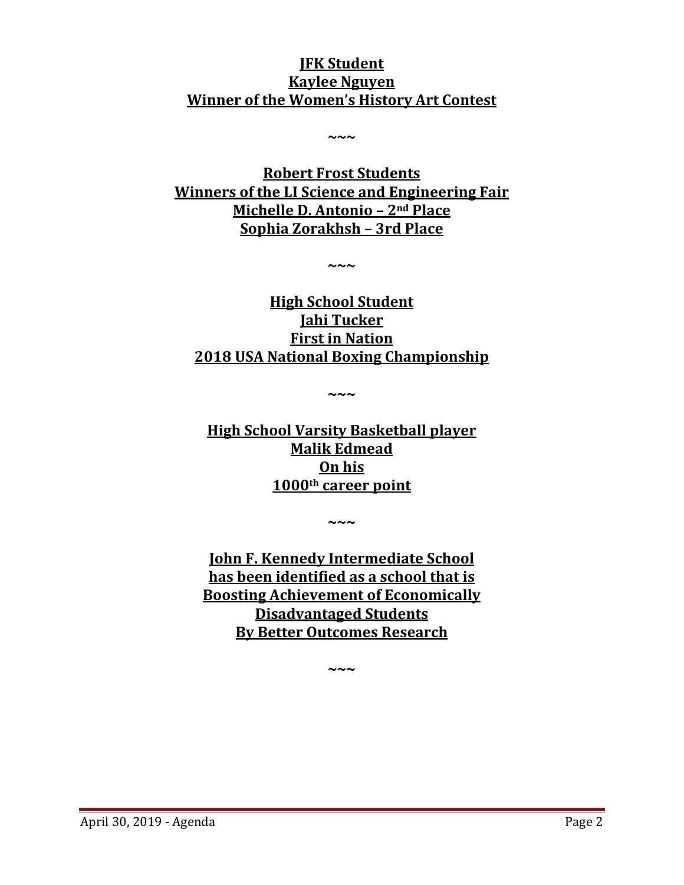# **JFK Student Kaylee Nguyen Winner of the Women's History Art Contest**

**~~~**

**Robert Frost Students Winners of the LI Science and Engineering Fair Michelle D. Antonio – 2nd Place Sophia Zorakhsh – 3rd Place**

**~~~**

**High School Student Jahi Tucker First in Nation 2018 USA National Boxing Championship**

**~~~**

**High School Varsity Basketball player Malik Edmead On his 1000th career point**

**~~~**

**John F. Kennedy Intermediate School has been identified as a school that is Boosting Achievement of Economically Disadvantaged Students By Better Outcomes Research**

**~~~**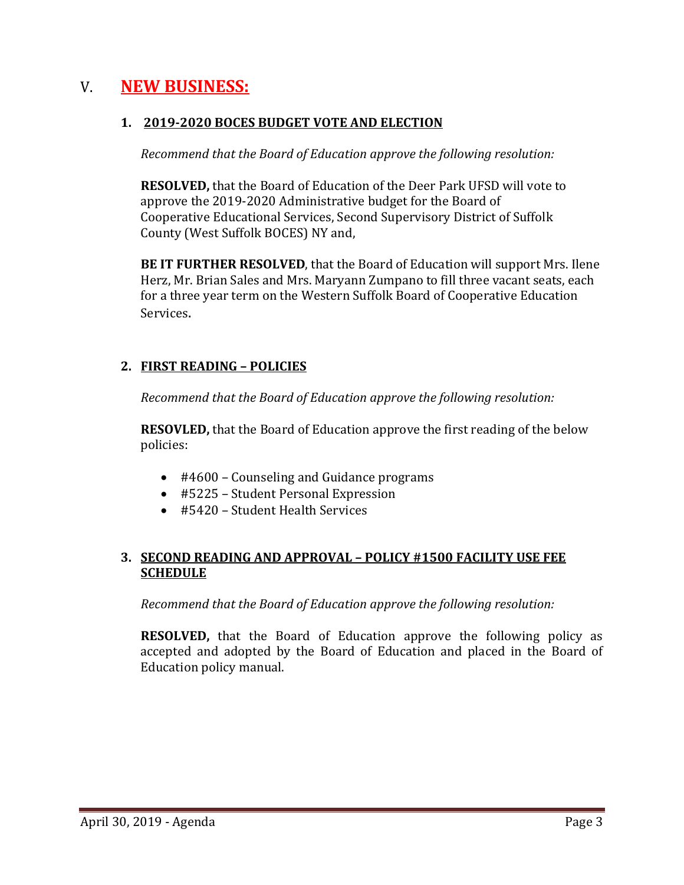# V. **NEW BUSINESS:**

#### **1. 2019-2020 BOCES BUDGET VOTE AND ELECTION**

*Recommend that the Board of Education approve the following resolution:*

**RESOLVED,** that the Board of Education of the Deer Park UFSD will vote to approve the 2019-2020 Administrative budget for the Board of Cooperative Educational Services, Second Supervisory District of Suffolk County (West Suffolk BOCES) NY and,

**BE IT FURTHER RESOLVED**, that the Board of Education will support Mrs. Ilene Herz, Mr. Brian Sales and Mrs. Maryann Zumpano to fill three vacant seats, each for a three year term on the Western Suffolk Board of Cooperative Education Services.

### **2. FIRST READING – POLICIES**

*Recommend that the Board of Education approve the following resolution:*

**RESOVLED,** that the Board of Education approve the first reading of the below policies:

- #4600 Counseling and Guidance programs
- #5225 Student Personal Expression
- #5420 Student Health Services

### **3. SECOND READING AND APPROVAL – POLICY #1500 FACILITY USE FEE SCHEDULE**

*Recommend that the Board of Education approve the following resolution:*

**RESOLVED,** that the Board of Education approve the following policy as accepted and adopted by the Board of Education and placed in the Board of Education policy manual.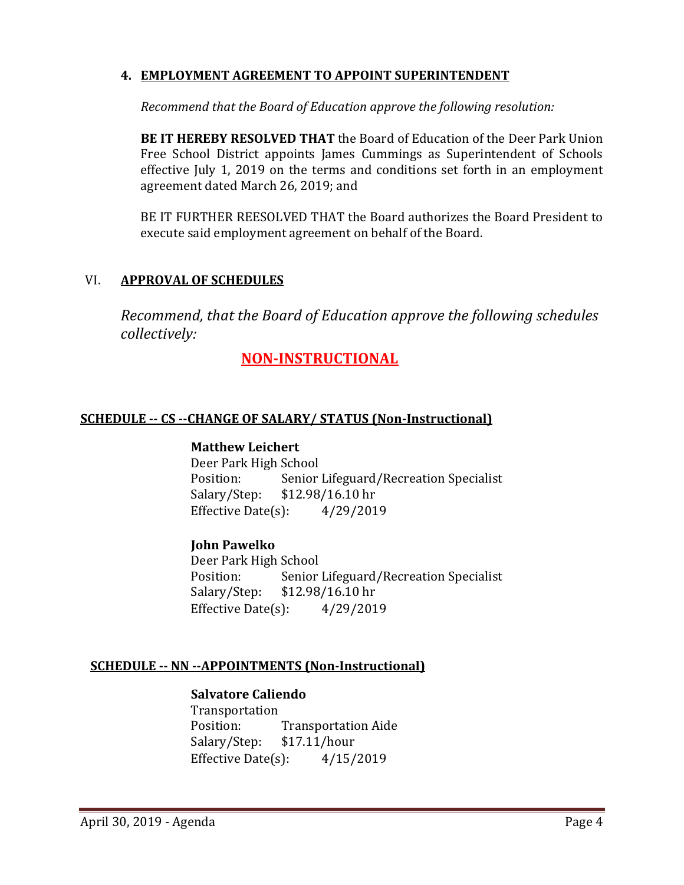#### **4. EMPLOYMENT AGREEMENT TO APPOINT SUPERINTENDENT**

*Recommend that the Board of Education approve the following resolution:*

**BE IT HEREBY RESOLVED THAT** the Board of Education of the Deer Park Union Free School District appoints James Cummings as Superintendent of Schools effective July 1, 2019 on the terms and conditions set forth in an employment agreement dated March 26, 2019; and

BE IT FURTHER REESOLVED THAT the Board authorizes the Board President to execute said employment agreement on behalf of the Board.

### VI. **APPROVAL OF SCHEDULES**

*Recommend, that the Board of Education approve the following schedules collectively:*

# **NON-INSTRUCTIONAL**

#### **SCHEDULE -- CS --CHANGE OF SALARY/ STATUS (Non-Instructional)**

#### **Matthew Leichert**

Deer Park High School Position: Senior Lifeguard/Recreation Specialist<br>Salary/Step: \$12.98/16.10 hr  $$12.98/16.10 \text{ hr}$ <br>S:  $4/29/2019$ Effective Date $(s)$ :

#### **John Pawelko**

Deer Park High School<br>Position: Senior Senior Lifeguard/Recreation Specialist Salary/Step: \$12.98/16.10 hr<br>Effective Date(s): 4/29/2019 Effective Date $(s)$ :

#### **SCHEDULE -- NN --APPOINTMENTS (Non-Instructional)**

#### **Salvatore Caliendo**

Transportation<br>Position: Transportation Aide<br>\$17.11/hour Salary/Step: \$17.11/hour<br>Effective Date(s): 4/15/2019 Effective Date $(s)$ :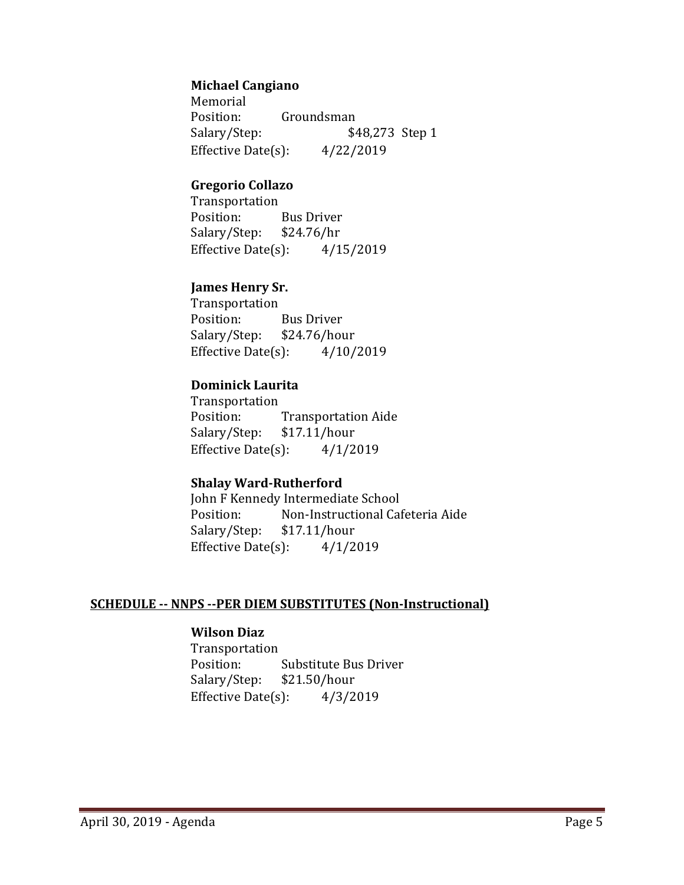#### **Michael Cangiano**

Memorial<br>Position: Groundsman Salary/Step: \$48,273 Step 1 Effective Date(s):  $4/22/2019$ 

#### **Gregorio Collazo**

Transportation<br>Position: Bus Driver<br>\$24.76/hr Salary/Step: Effective Date(s):  $4/15/2019$ 

#### **James Henry Sr.**

Transportation Bus Driver<br>\$24.76/hour Salary/Step: Effective Date $(s)$ :  $4/10/2019$ 

#### **Dominick Laurita**

Transportation<br>Position: Transportation Aide<br>\$17.11/hour Salary/Step: \$17.11/hour<br>Effective Date(s): 4/1/2019 Effective Date $(s)$ :

### **Shalay Ward-Rutherford**

John F Kennedy Intermediate School<br>Position: Non-Instructional Cal Non-Instructional Cafeteria Aide<br>\$17.11/hour Salary/Step: \$17.11/hour<br>Effective Date(s): 4/1/2019 Effective Date $(s)$ :

#### **SCHEDULE -- NNPS --PER DIEM SUBSTITUTES (Non-Instructional)**

#### **Wilson Diaz**

Transportation<br>Position: Substitute Bus Driver<br>\$21.50/hour Salary/Step: Effective Date(s):  $4/3/2019$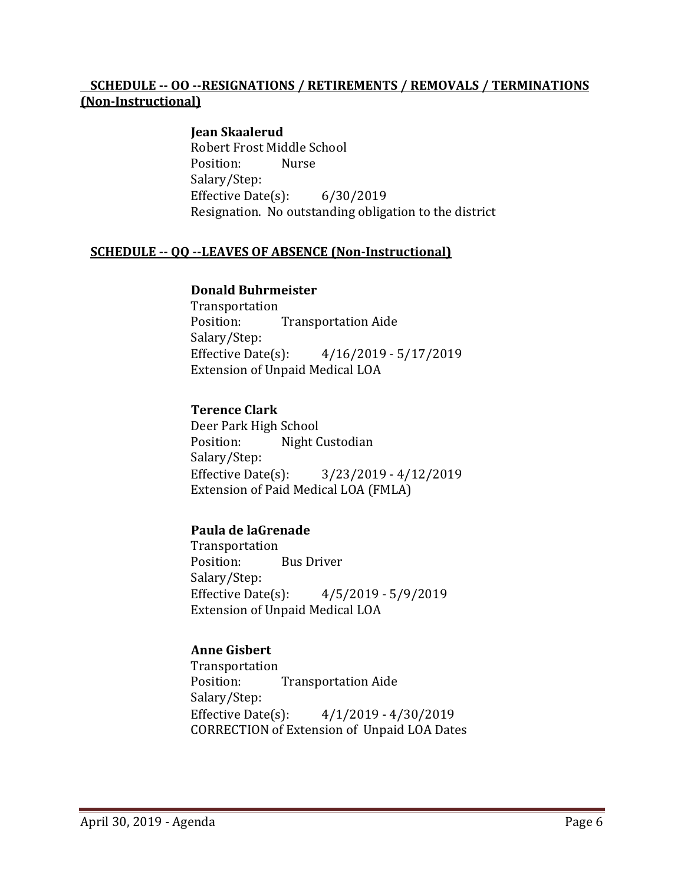### **SCHEDULE -- OO --RESIGNATIONS / RETIREMENTS / REMOVALS / TERMINATIONS (Non-Instructional)**

### **Jean Skaalerud**

Robert Frost Middle School<br>Position: Nurse Position: Salary/Step: Effective Date(s): 6/30/2019 Resignation. No outstanding obligation to the district

#### **SCHEDULE -- QQ --LEAVES OF ABSENCE (Non-Instructional)**

#### **Donald Buhrmeister**

Transportation<br>Position: **Transportation Aide** Salary/Step: Effective Date(s): 4/16/2019 - 5/17/2019 Extension of Unpaid Medical LOA

#### **Terence Clark**

Deer Park High School<br>Position: Night C Night Custodian Salary/Step:<br>Effective Date(s): Effective Date(s): 3/23/2019 - 4/12/2019 Extension of Paid Medical LOA (FMLA)

#### **Paula de laGrenade**

Transportation<br>Position: **Bus Driver** Salary/Step:<br>Effective Date(s):  $4/5/2019 - 5/9/2019$ Extension of Unpaid Medical LOA

#### **Anne Gisbert**

Transportation<br>Position: **Transportation Aide** Salary/Step: Effective Date(s): 4/1/2019 - 4/30/2019 CORRECTION of Extension of Unpaid LOA Dates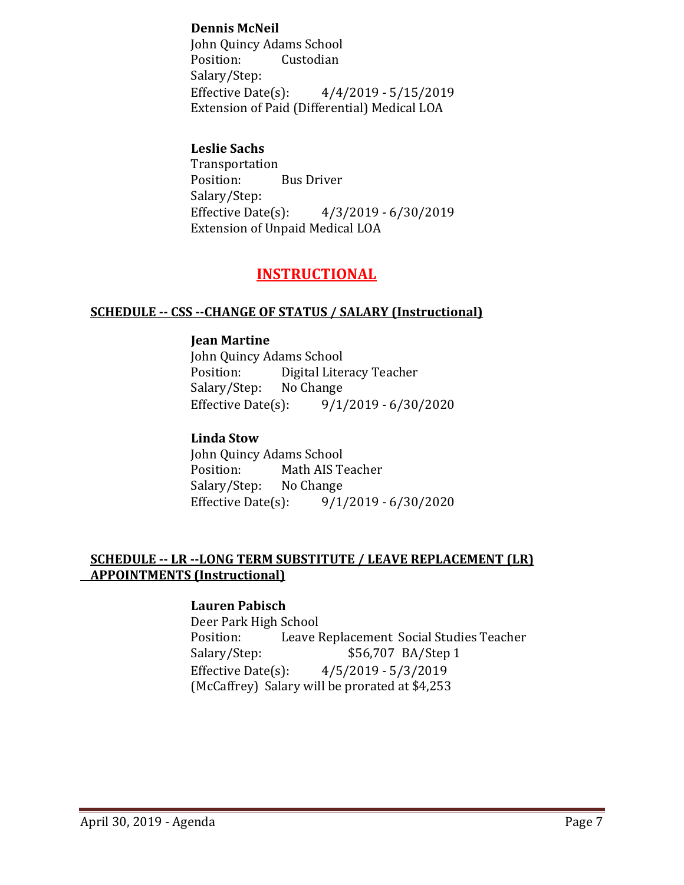### **Dennis McNeil**

John Quincy Adams School Custodian Salary/Step:<br>Effective Date(s):  $4/4/2019 - 5/15/2019$ Extension of Paid (Differential) Medical LOA

#### **Leslie Sachs**

Transportation<br>Position: **Bus Driver** Salary/Step:<br>Effective Date(s):  $4/3/2019 - 6/30/2019$ Extension of Unpaid Medical LOA

# **INSTRUCTIONAL**

#### **SCHEDULE -- CSS --CHANGE OF STATUS / SALARY (Instructional)**

#### **Jean Martine**

John Quincy Adams School<br>Position: Digital Liter Digital Literacy Teacher<br>No Change Salary/Step: No<br>Effective Date(s):  $9/1/2019 - 6/30/2020$ 

### **Linda Stow**

John Quincy Adams School Math AIS Teacher<br>No Change Salary/Step: Effective Date(s): 9/1/2019 - 6/30/2020

#### **SCHEDULE -- LR --LONG TERM SUBSTITUTE / LEAVE REPLACEMENT (LR) APPOINTMENTS (Instructional)**

#### **Lauren Pabisch**

Deer Park High School Position: Leave Replacement Social Studies Teacher<br>Salary/Step: \$56,707 BA/Step 1 \$56,707 BA/Step 1 Effective Date(s): 4/5/2019 - 5/3/2019 (McCaffrey) Salary will be prorated at \$4,253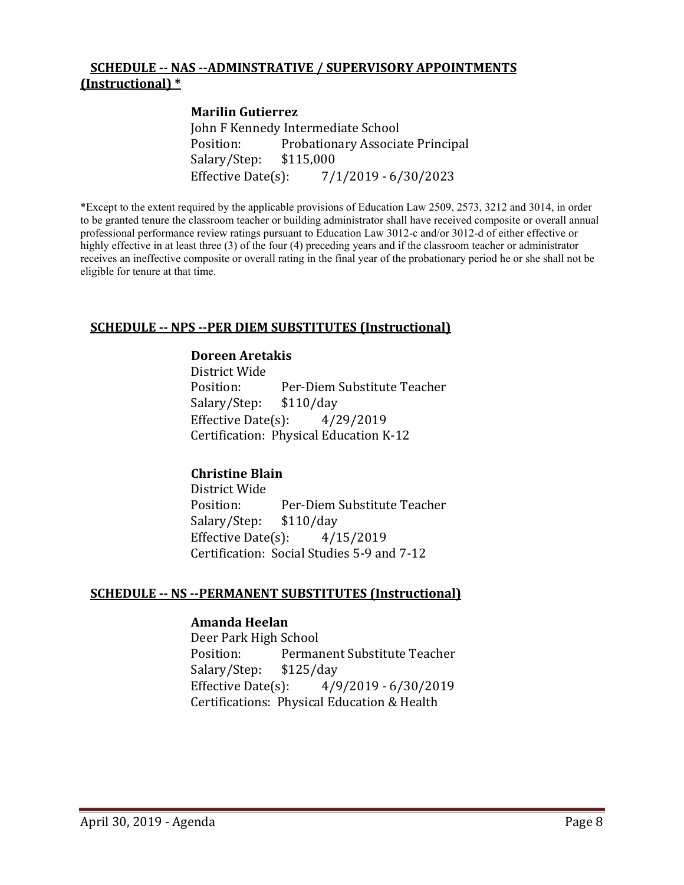#### **SCHEDULE -- NAS --ADMINSTRATIVE / SUPERVISORY APPOINTMENTS (Instructional) \***

#### **Marilin Gutierrez**

John F Kennedy Intermediate School<br>Position: Probationary Associa Probationary Associate Principal<br>\$115,000 Salary/Step: Effective Date(s): 7/1/2019 - 6/30/2023

\*Except to the extent required by the applicable provisions of Education Law 2509, 2573, 3212 and 3014, in order to be granted tenure the classroom teacher or building administrator shall have received composite or overall annual professional performance review ratings pursuant to Education Law 3012-c and/or 3012-d of either effective or highly effective in at least three (3) of the four (4) preceding years and if the classroom teacher or administrator receives an ineffective composite or overall rating in the final year of the probationary period he or she shall not be eligible for tenure at that time.

#### **SCHEDULE -- NPS --PER DIEM SUBSTITUTES (Instructional)**

#### **Doreen Aretakis**

District Wide Per-Diem Substitute Teacher<br>\$110/day Salary/Step: \$110/day<br>Effective Date(s): 4/29/2019 Effective Date $(s)$ : Certification: Physical Education K-12

#### **Christine Blain**

District Wide<br>Position: Per-Diem Substitute Teacher<br>\$110/day Salary/Step: Effective Date $(s)$ :  $4/15/2019$ Certification: Social Studies 5-9 and 7-12

#### **SCHEDULE -- NS --PERMANENT SUBSTITUTES (Instructional)**

#### **Amanda Heelan**

Deer Park High School Permanent Substitute Teacher<br>\$125/day Salary/Step: \$1<br>Effective Date(s): Effective Date(s): 4/9/2019 - 6/30/2019 Certifications: Physical Education & Health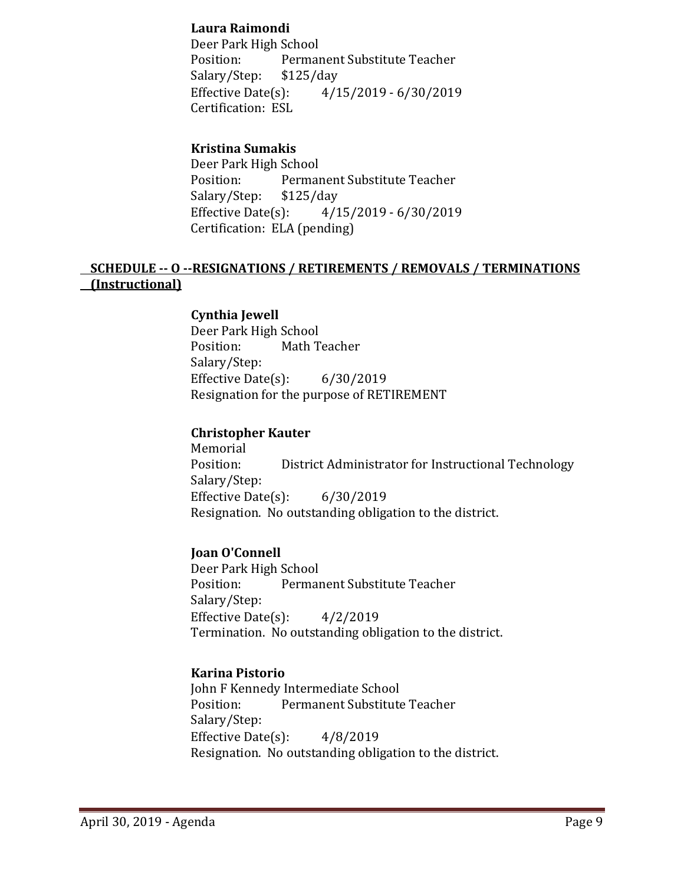### **Laura Raimondi**

Deer Park High School<br>Position: Permai Permanent Substitute Teacher<br>\$125/day Salary/Step: \$1<br>Effective Date(s): Effective Date(s): 4/15/2019 - 6/30/2019 Certification: ESL

## **Kristina Sumakis**

Deer Park High School Permanent Substitute Teacher<br>\$125/day Salary/Step: \$1<br>Effective Date(s): Effective Date(s): 4/15/2019 - 6/30/2019 Certification: ELA (pending)

### **SCHEDULE -- O --RESIGNATIONS / RETIREMENTS / REMOVALS / TERMINATIONS (Instructional)**

#### **Cynthia Jewell**

Deer Park High School<br>Position: Math T Math Teacher Salary/Step: Effective Date $(s)$ : 6/30/2019 Resignation for the purpose of RETIREMENT

#### **Christopher Kauter**

Memorial<br>Position: District Administrator for Instructional Technology Salary/Step: Effective Date(s): 6/30/2019 Resignation. No outstanding obligation to the district.

#### **Joan O'Connell**

Deer Park High School<br>Position: Permai Permanent Substitute Teacher Salary/Step: Effective Date(s): 4/2/2019 Termination. No outstanding obligation to the district.

#### **Karina Pistorio**

John F Kennedy Intermediate School<br>Position: Permanent Substitute Permanent Substitute Teacher Salary/Step: Effective Date $(s)$ :  $4/8/2019$ Resignation. No outstanding obligation to the district.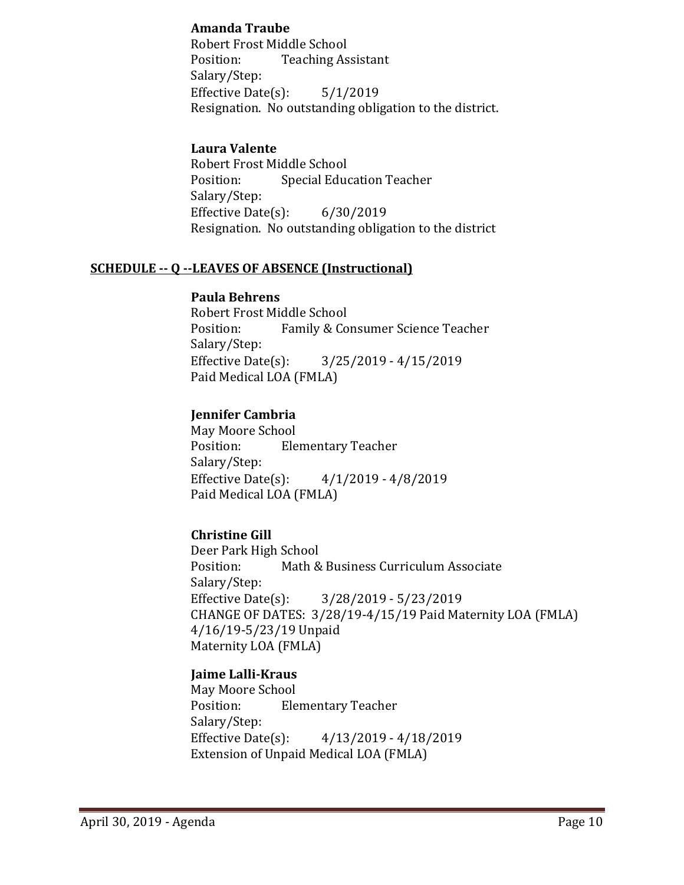### **Amanda Traube**

Robert Frost Middle School Position: Teaching Assistant Salary/Step: Effective Date(s): 5/1/2019 Resignation. No outstanding obligation to the district.

### **Laura Valente**

Robert Frost Middle School **Special Education Teacher** Salary/Step: Effective Date(s): 6/30/2019 Resignation. No outstanding obligation to the district

### **SCHEDULE -- Q --LEAVES OF ABSENCE (Instructional)**

#### **Paula Behrens**

Robert Frost Middle School<br>Position: Family & Co Family & Consumer Science Teacher Salary/Step:<br>Effective Date(s):  $3/25/2019 - 4/15/2019$ Paid Medical LOA (FMLA)

## **Jennifer Cambria**

May Moore School **Elementary Teacher** Salary/Step:<br>Effective Date(s):  $4/1/2019 - 4/8/2019$ Paid Medical LOA (FMLA)

## **Christine Gill**

Deer Park High School<br>Position: Math & Math & Business Curriculum Associate Salary/Step:<br>Effective Date(s): Effective Date(s): 3/28/2019 - 5/23/2019 CHANGE OF DATES: 3/28/19-4/15/19 Paid Maternity LOA (FMLA) 4/16/19-5/23/19 Unpaid Maternity LOA (FMLA)

## **Jaime Lalli-Kraus**

May Moore School **Elementary Teacher** Salary/Step:<br>Effective Date(s): Effective Date(s): 4/13/2019 - 4/18/2019 Extension of Unpaid Medical LOA (FMLA)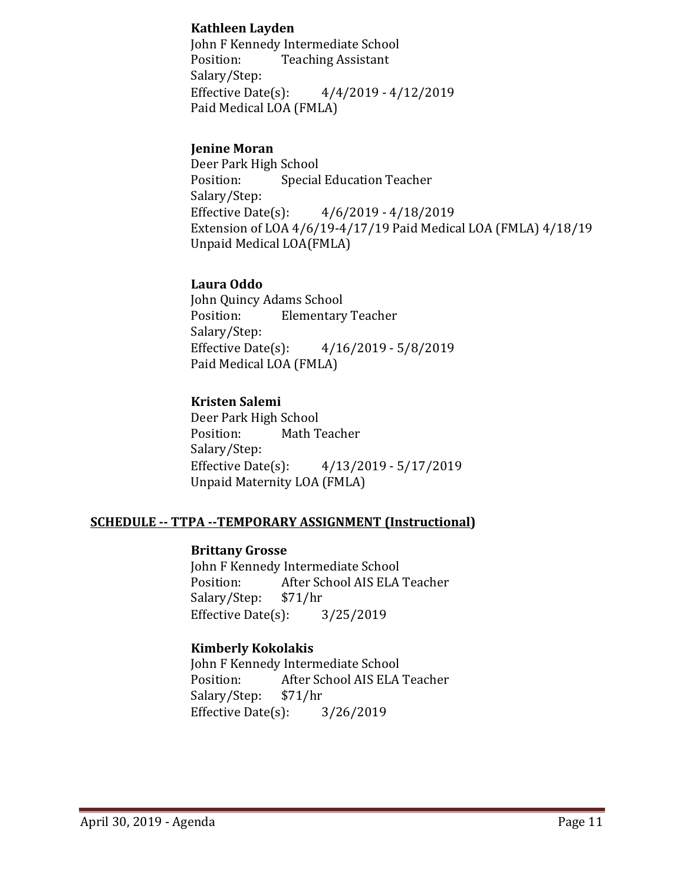### **Kathleen Layden**

John F Kennedy Intermediate School<br>Position: Teaching Assistant **Teaching Assistant** Salary/Step:<br>Effective Date(s):  $4/4/2019 - 4/12/2019$ Paid Medical LOA (FMLA)

### **Jenine Moran**

Deer Park High School<br>Position: Special **Special Education Teacher** Salary/Step:<br>Effective Date(s):  $4/6/2019 - 4/18/2019$ Extension of LOA 4/6/19-4/17/19 Paid Medical LOA (FMLA) 4/18/19 Unpaid Medical LOA(FMLA)

### **Laura Oddo**

John Quincy Adams School<br>Position: Elementary **Elementary Teacher** Salary/Step: Effective Date(s): 4/16/2019 - 5/8/2019 Paid Medical LOA (FMLA)

## **Kristen Salemi**

Deer Park High School<br>Position: Math T Math Teacher Salary/Step:<br>Effective Date(s): Effective Date(s): 4/13/2019 - 5/17/2019 Unpaid Maternity LOA (FMLA)

## **SCHEDULE -- TTPA --TEMPORARY ASSIGNMENT (Instructional)**

### **Brittany Grosse**

John F Kennedy Intermediate School<br>Position: After School AIS ELA After School AIS ELA Teacher<br>\$71/hr Salary/Step: \$71/hr<br>Effective Date(s): 3/25/2019 Effective Date $(s)$ :

## **Kimberly Kokolakis**

John F Kennedy Intermediate School<br>Position: After School AIS ELA After School AIS ELA Teacher<br>\$71/hr Salary/Step: \$71/hr<br>Effective Date(s): 3/26/2019 Effective Date $(s)$ :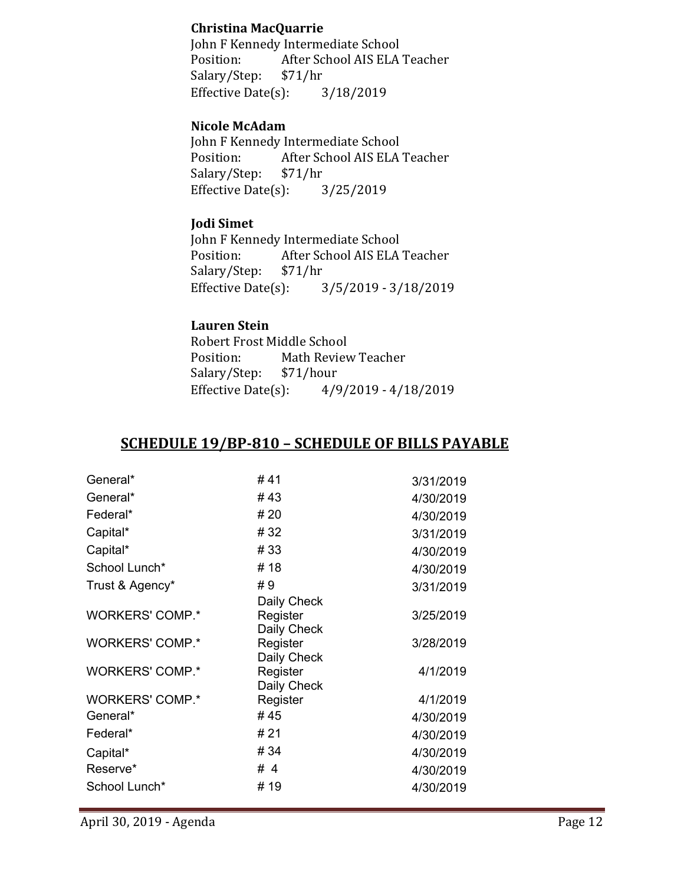### **Christina MacQuarrie**

John F Kennedy Intermediate School<br>Position: After School AIS ELA After School AIS ELA Teacher<br>\$71/hr Salary/Step: \$71/hr<br>Effective Date(s): 3/18/2019 Effective Date $(s)$ :

## **Nicole McAdam**

John F Kennedy Intermediate School<br>Position: After School AIS ELA After School AIS ELA Teacher<br>\$71/hr Salary/Step: \$71/hr<br>Effective Date(s): 3/25/2019 Effective Date $(s)$ :

### **Jodi Simet**

John F Kennedy Intermediate School<br>Position: After School AIS ELA After School AIS ELA Teacher<br>\$71/hr Salary/Step: Effective Date(s): 3/5/2019 - 3/18/2019

## **Lauren Stein**

Robert Frost Middle School<br>Position: Math Reviev Math Review Teacher<br>\$71/hour Salary/Step: \$7<br>Effective Date(s): Effective Date(s): 4/9/2019 - 4/18/2019

# **SCHEDULE 19/BP-810 – SCHEDULE OF BILLS PAYABLE**

| General*               | # 41        | 3/31/2019 |
|------------------------|-------------|-----------|
| General*               | #43         | 4/30/2019 |
| Federal*               | # 20        | 4/30/2019 |
| Capital*               | #32         | 3/31/2019 |
| Capital*               | #33         | 4/30/2019 |
| School Lunch*          | #18         | 4/30/2019 |
| Trust & Agency*        | #9          | 3/31/2019 |
|                        | Daily Check |           |
| <b>WORKERS' COMP.*</b> | Register    | 3/25/2019 |
|                        | Daily Check |           |
| <b>WORKERS' COMP.*</b> | Register    | 3/28/2019 |
|                        | Daily Check |           |
| <b>WORKERS' COMP.*</b> | Register    | 4/1/2019  |
|                        | Daily Check |           |
| <b>WORKERS' COMP.*</b> | Register    | 4/1/2019  |
| General*               | #45         | 4/30/2019 |
| Federal*               | # 21        | 4/30/2019 |
| Capital*               | #34         | 4/30/2019 |
| Reserve*               | # 4         | 4/30/2019 |
| School Lunch*          | # 19        | 4/30/2019 |
|                        |             |           |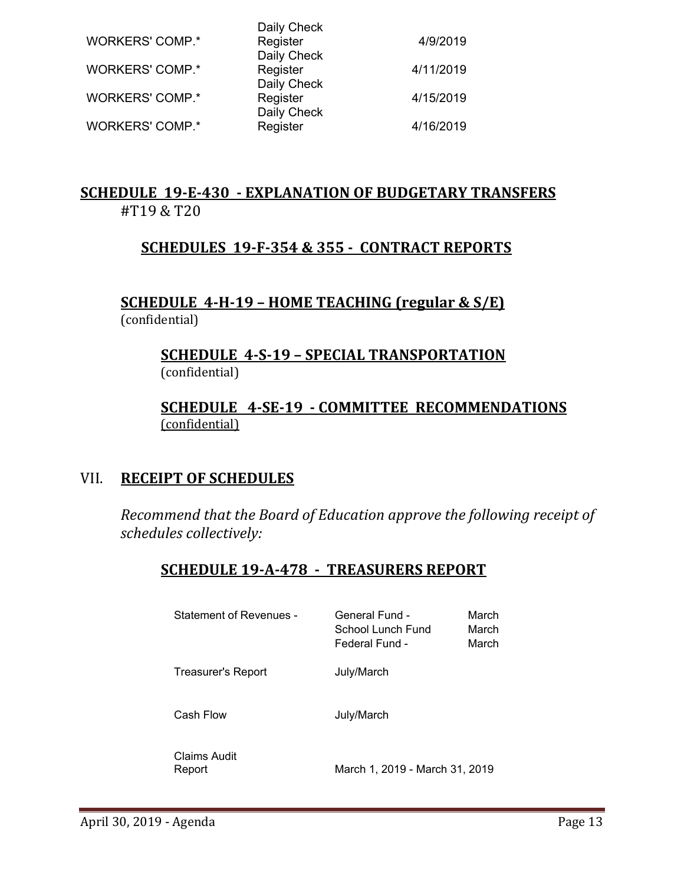| <b>WORKERS' COMP.*</b> | Daily Check<br>Register                | 4/9/2019  |
|------------------------|----------------------------------------|-----------|
| <b>WORKERS' COMP.*</b> | Daily Check<br>Register<br>Daily Check | 4/11/2019 |
| <b>WORKERS' COMP.*</b> | Register<br>Daily Check                | 4/15/2019 |
| <b>WORKERS' COMP.*</b> | Register                               | 4/16/2019 |

# **SCHEDULE 19-E-430 - EXPLANATION OF BUDGETARY TRANSFERS** #T19 & T20

# **SCHEDULES 19-F-354 & 355 - CONTRACT REPORTS**

## **SCHEDULE 4-H-19 – HOME TEACHING (regular & S/E)**  (confidential)

# **SCHEDULE 4-S-19 – SPECIAL TRANSPORTATION**  (confidential)

# **SCHEDULE 4-SE-19 - COMMITTEE RECOMMENDATIONS** (confidential)

# VII. **RECEIPT OF SCHEDULES**

*Recommend that the Board of Education approve the following receipt of schedules collectively:*

# **SCHEDULE 19-A-478 - TREASURERS REPORT**

| General Fund -<br>School Lunch Fund<br>Federal Fund - | March<br>March<br>March |
|-------------------------------------------------------|-------------------------|
| July/March                                            |                         |
| July/March                                            |                         |
|                                                       |                         |

Claims Audit

March 1, 2019 - March 31, 2019